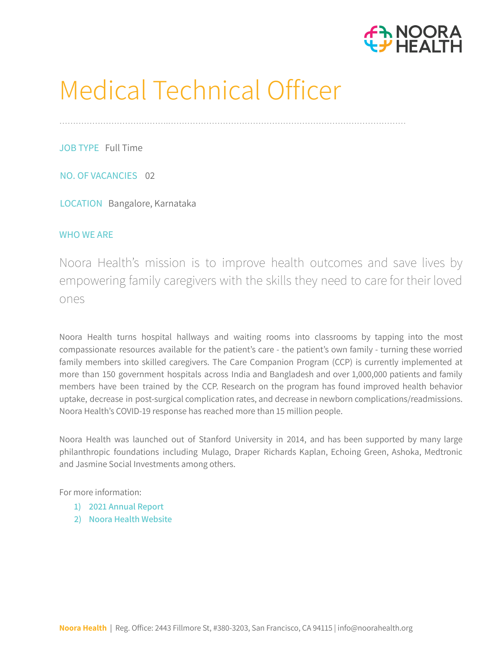

# Medical Technical Officer

………………………………….……………………………………………………………………………

JOB TYPE Full Time

NO. OF VACANCIES 02

LOCATION Bangalore, Karnataka

## WHO WE ARE

Noora [Health's](http://noorahealth.org/) mission is to improve health outcomes and save lives by empowering family caregivers with the skills they need to care for their loved ones

Noora Health turns hospital hallways and waiting rooms into classrooms by tapping into the most compassionate resources available for the patient's care - the patient's own family - turning these worried family members into skilled caregivers. The Care Companion Program (CCP) is currently implemented at more than 150 government hospitals across India and Bangladesh and over 1,000,000 patients and family members have been trained by the CCP. Research on the program has found improved health behavior uptake, decrease in post-surgical complication rates, and decrease in newborn complications/readmissions. Noora Health's COVID-19 response has reached more than 15 million people.

Noora Health was launched out of Stanford University in 2014, and has been supported by many large philanthropic foundations including Mulago, Draper Richards Kaplan, Echoing Green, Ashoka, Medtronic and Jasmine Social Investments among others.

For more information:

- **1) 2021 [Annual](https://drive.google.com/file/d/1qKwAZVJHZ6mdvmRfarUzRCT7dh840f-J/view?usp=sharing) Report**
- **2) Noora Health [Website](http://nooorahealth.org/)**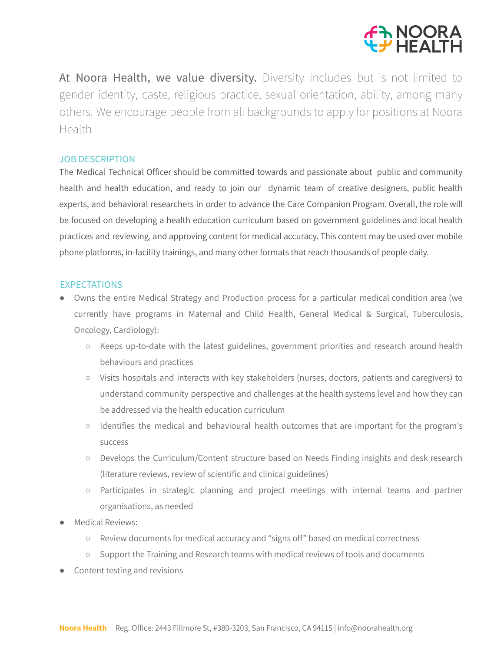

At Noora Health, we value diversity. Diversity includes but is not limited to gender identity, caste, religious practice, sexual orientation, ability, among many others. We encourage people from all backgrounds to apply for positions at Noora Health

### JOB DESCRIPTION

The Medical Technical Officer should be committed towards and passionate about public and community health and health education, and ready to join our dynamic team of creative designers, public health experts, and behavioral researchers in order to advance the Care Companion Program. Overall, the role will be focused on developing a health education curriculum based on government guidelines and local health practices and reviewing, and approving content for medical accuracy. This content may be used over mobile phone platforms, in-facility trainings, and many other formats that reach thousands of people daily.

#### **EXPECTATIONS**

- Owns the entire Medical Strategy and Production process for a particular medical condition area (we currently have programs in Maternal and Child Health, General Medical & Surgical, Tuberculosis, Oncology, Cardiology):
	- Keeps up-to-date with the latest guidelines, government priorities and research around health behaviours and practices
	- Visits hospitals and interacts with key stakeholders (nurses, doctors, patients and caregivers) to understand community perspective and challenges at the health systems level and how they can be addressed via the health education curriculum
	- Identifies the medical and behavioural health outcomes that are important for the program's success
	- Develops the Curriculum/Content structure based on Needs Finding insights and desk research (literature reviews, review of scientific and clinical guidelines)
	- Participates in strategic planning and project meetings with internal teams and partner organisations, as needed
- Medical Reviews:
	- Review documents for medical accuracy and "signs off" based on medical correctness
	- Support the Training and Research teams with medical reviews of tools and documents
- Content testing and revisions